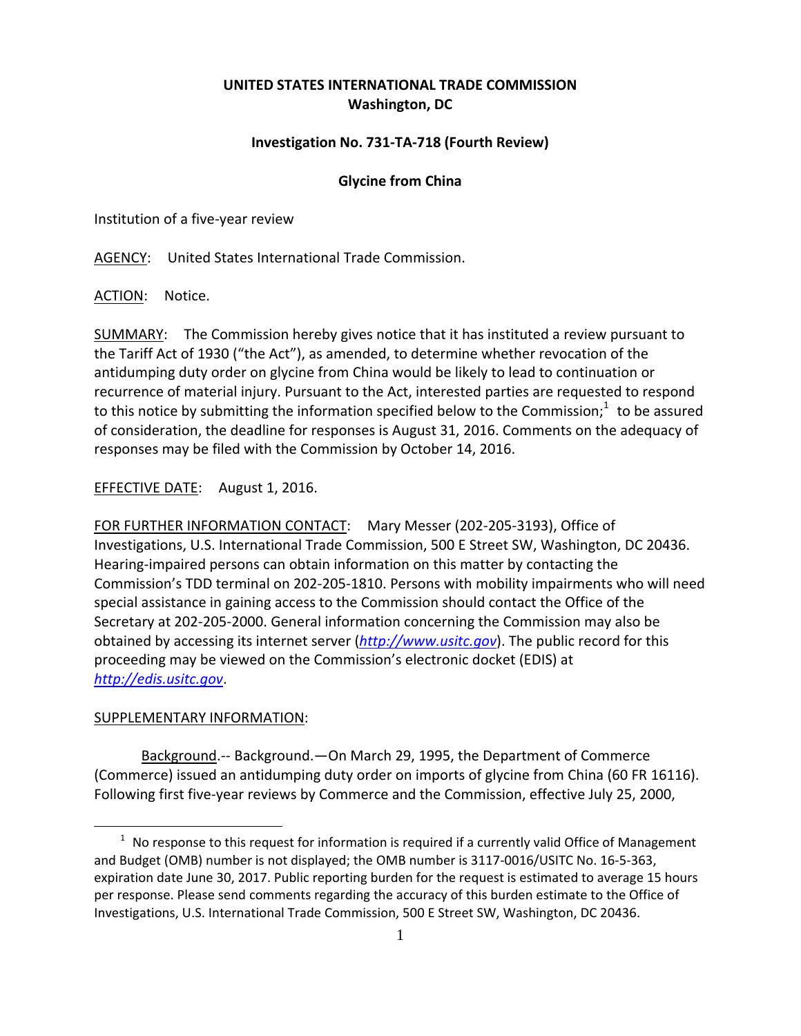## **UNITED STATES INTERNATIONAL TRADE COMMISSION Washington, DC**

## **Investigation No. 731‐TA‐718 (Fourth Review)**

## **Glycine from China**

Institution of a five‐year review

AGENCY: United States International Trade Commission.

ACTION: Notice.

SUMMARY: The Commission hereby gives notice that it has instituted a review pursuant to the Tariff Act of 1930 ("the Act"), as amended, to determine whether revocation of the antidumping duty order on glycine from China would be likely to lead to continuation or recurrence of material injury. Pursuant to the Act, interested parties are requested to respond to this notice by submitting the information specified below to the Commission;<sup>1</sup> to be assured of consideration, the deadline for responses is August 31, 2016. Comments on the adequacy of responses may be filed with the Commission by October 14, 2016.

EFFECTIVE DATE: August 1, 2016.

FOR FURTHER INFORMATION CONTACT: Mary Messer (202‐205‐3193), Office of Investigations, U.S. International Trade Commission, 500 E Street SW, Washington, DC 20436. Hearing‐impaired persons can obtain information on this matter by contacting the Commission's TDD terminal on 202‐205‐1810. Persons with mobility impairments who will need special assistance in gaining access to the Commission should contact the Office of the Secretary at 202‐205‐2000. General information concerning the Commission may also be obtained by accessing its internet server (*http://www.usitc.gov*). The public record for this proceeding may be viewed on the Commission's electronic docket (EDIS) at *http://edis.usitc.gov*.

## SUPPLEMENTARY INFORMATION:

 $\overline{a}$ 

Background.‐‐ Background.—On March 29, 1995, the Department of Commerce (Commerce) issued an antidumping duty order on imports of glycine from China (60 FR 16116). Following first five‐year reviews by Commerce and the Commission, effective July 25, 2000,

 $1$  No response to this request for information is required if a currently valid Office of Management and Budget (OMB) number is not displayed; the OMB number is 3117‐0016/USITC No. 16‐5‐363, expiration date June 30, 2017. Public reporting burden for the request is estimated to average 15 hours per response. Please send comments regarding the accuracy of this burden estimate to the Office of Investigations, U.S. International Trade Commission, 500 E Street SW, Washington, DC 20436.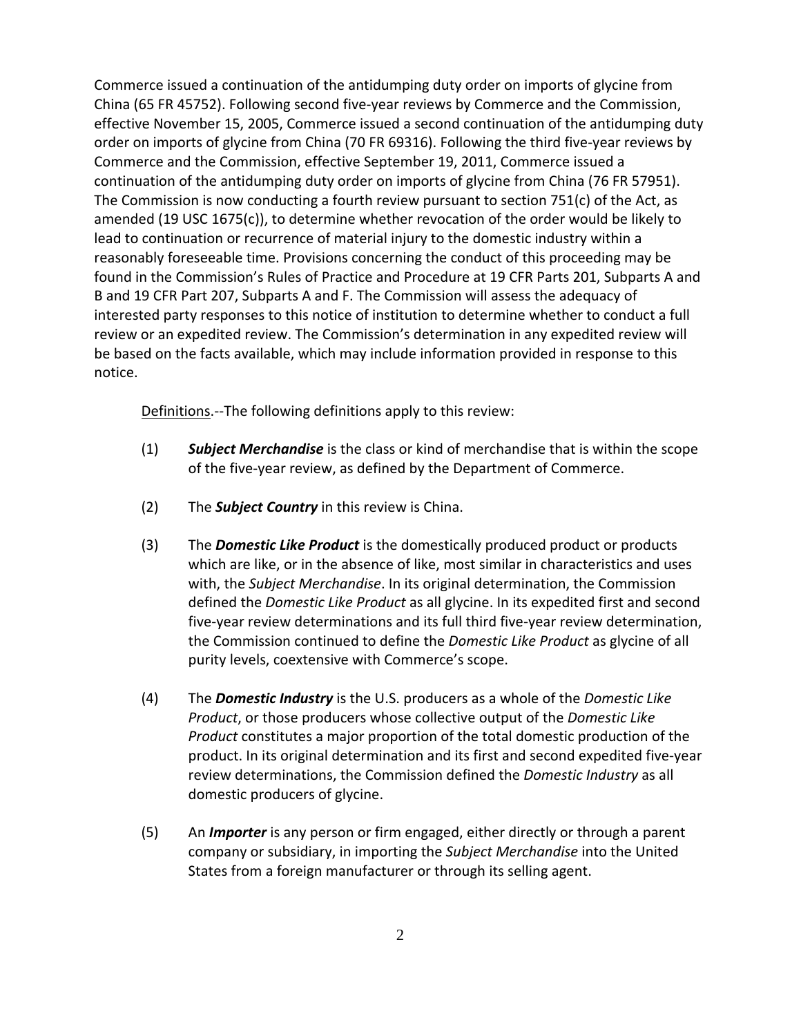Commerce issued a continuation of the antidumping duty order on imports of glycine from China (65 FR 45752). Following second five‐year reviews by Commerce and the Commission, effective November 15, 2005, Commerce issued a second continuation of the antidumping duty order on imports of glycine from China (70 FR 69316). Following the third five‐year reviews by Commerce and the Commission, effective September 19, 2011, Commerce issued a continuation of the antidumping duty order on imports of glycine from China (76 FR 57951). The Commission is now conducting a fourth review pursuant to section  $751(c)$  of the Act, as amended (19 USC 1675(c)), to determine whether revocation of the order would be likely to lead to continuation or recurrence of material injury to the domestic industry within a reasonably foreseeable time. Provisions concerning the conduct of this proceeding may be found in the Commission's Rules of Practice and Procedure at 19 CFR Parts 201, Subparts A and B and 19 CFR Part 207, Subparts A and F. The Commission will assess the adequacy of interested party responses to this notice of institution to determine whether to conduct a full review or an expedited review. The Commission's determination in any expedited review will be based on the facts available, which may include information provided in response to this notice.

Definitions. -- The following definitions apply to this review:

- (1) *Subject Merchandise* is the class or kind of merchandise that is within the scope of the five‐year review, as defined by the Department of Commerce.
- (2) The *Subject Country* in this review is China.
- (3) The *Domestic Like Product* is the domestically produced product or products which are like, or in the absence of like, most similar in characteristics and uses with, the *Subject Merchandise*. In its original determination, the Commission defined the *Domestic Like Product* as all glycine. In its expedited first and second five‐year review determinations and its full third five‐year review determination, the Commission continued to define the *Domestic Like Product* as glycine of all purity levels, coextensive with Commerce's scope.
- (4) The *Domestic Industry* is the U.S. producers as a whole of the *Domestic Like Product*, or those producers whose collective output of the *Domestic Like Product* constitutes a major proportion of the total domestic production of the product. In its original determination and its first and second expedited five‐year review determinations, the Commission defined the *Domestic Industry* as all domestic producers of glycine.
- (5) An *Importer* is any person or firm engaged, either directly or through a parent company or subsidiary, in importing the *Subject Merchandise* into the United States from a foreign manufacturer or through its selling agent.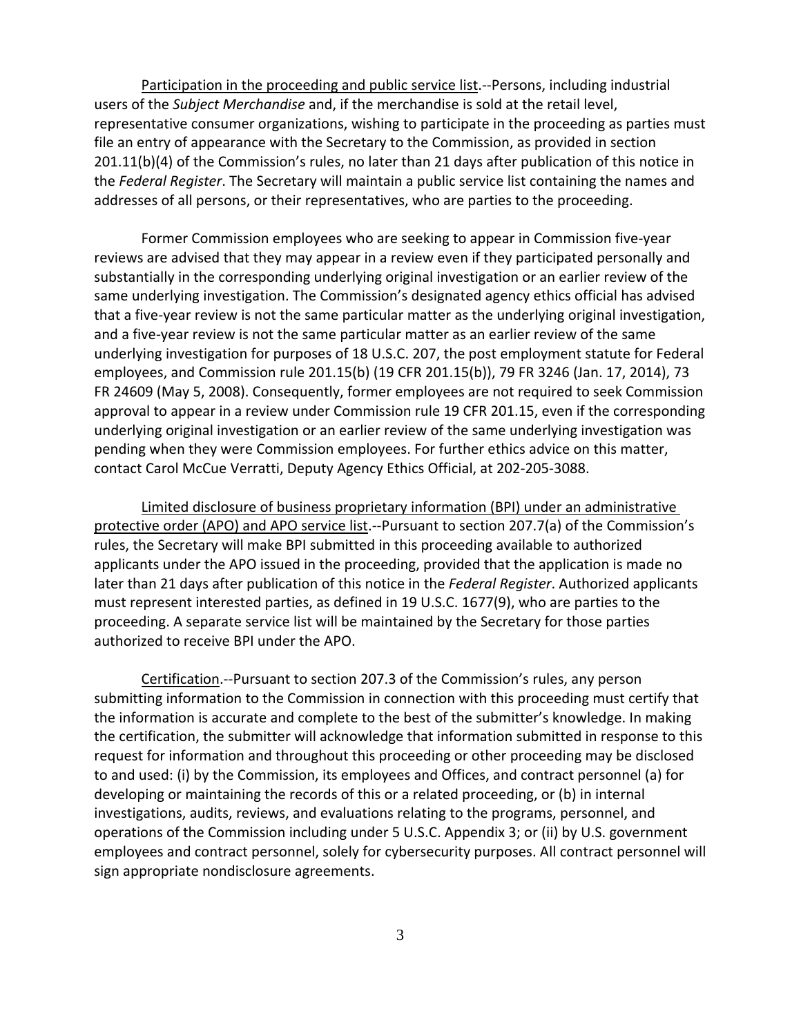Participation in the proceeding and public service list.--Persons, including industrial users of the *Subject Merchandise* and, if the merchandise is sold at the retail level, representative consumer organizations, wishing to participate in the proceeding as parties must file an entry of appearance with the Secretary to the Commission, as provided in section 201.11(b)(4) of the Commission's rules, no later than 21 days after publication of this notice in the *Federal Register*. The Secretary will maintain a public service list containing the names and addresses of all persons, or their representatives, who are parties to the proceeding.

Former Commission employees who are seeking to appear in Commission five‐year reviews are advised that they may appear in a review even if they participated personally and substantially in the corresponding underlying original investigation or an earlier review of the same underlying investigation. The Commission's designated agency ethics official has advised that a five‐year review is not the same particular matter as the underlying original investigation, and a five‐year review is not the same particular matter as an earlier review of the same underlying investigation for purposes of 18 U.S.C. 207, the post employment statute for Federal employees, and Commission rule 201.15(b) (19 CFR 201.15(b)), 79 FR 3246 (Jan. 17, 2014), 73 FR 24609 (May 5, 2008). Consequently, former employees are not required to seek Commission approval to appear in a review under Commission rule 19 CFR 201.15, even if the corresponding underlying original investigation or an earlier review of the same underlying investigation was pending when they were Commission employees. For further ethics advice on this matter, contact Carol McCue Verratti, Deputy Agency Ethics Official, at 202‐205‐3088.

Limited disclosure of business proprietary information (BPI) under an administrative protective order (APO) and APO service list.--Pursuant to section 207.7(a) of the Commission's rules, the Secretary will make BPI submitted in this proceeding available to authorized applicants under the APO issued in the proceeding, provided that the application is made no later than 21 days after publication of this notice in the *Federal Register*. Authorized applicants must represent interested parties, as defined in 19 U.S.C. 1677(9), who are parties to the proceeding. A separate service list will be maintained by the Secretary for those parties authorized to receive BPI under the APO.

Certification.‐‐Pursuant to section 207.3 of the Commission's rules, any person submitting information to the Commission in connection with this proceeding must certify that the information is accurate and complete to the best of the submitter's knowledge. In making the certification, the submitter will acknowledge that information submitted in response to this request for information and throughout this proceeding or other proceeding may be disclosed to and used: (i) by the Commission, its employees and Offices, and contract personnel (a) for developing or maintaining the records of this or a related proceeding, or (b) in internal investigations, audits, reviews, and evaluations relating to the programs, personnel, and operations of the Commission including under 5 U.S.C. Appendix 3; or (ii) by U.S. government employees and contract personnel, solely for cybersecurity purposes. All contract personnel will sign appropriate nondisclosure agreements.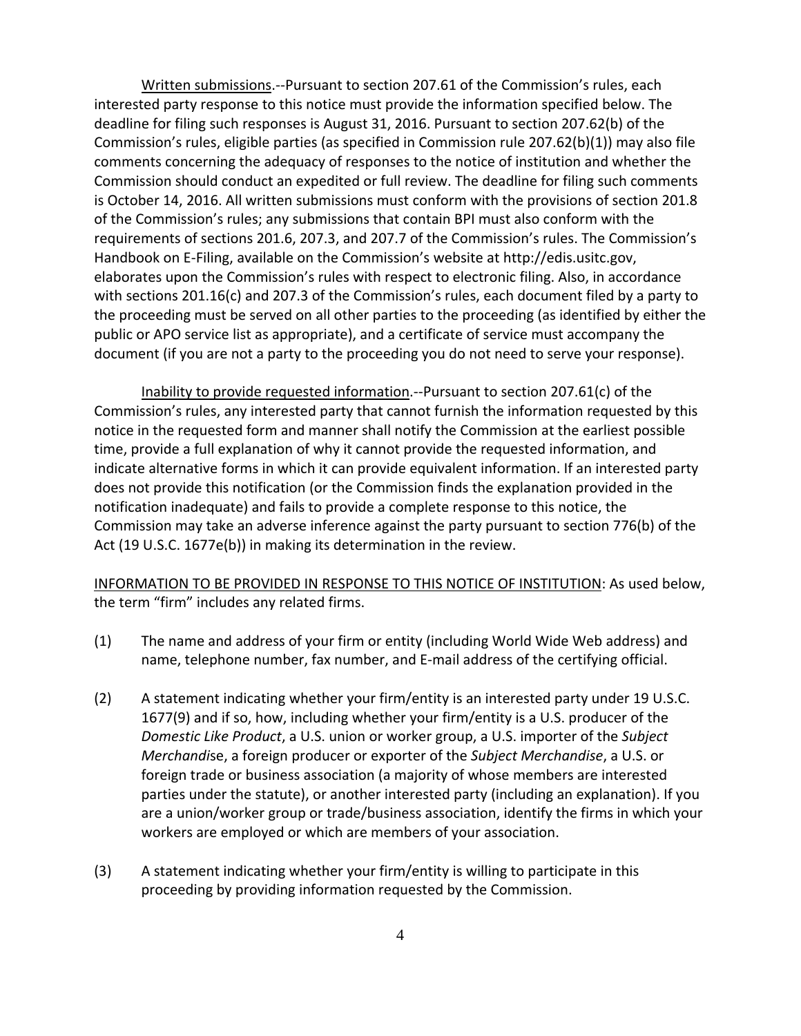Written submissions.‐‐Pursuant to section 207.61 of the Commission's rules, each interested party response to this notice must provide the information specified below. The deadline for filing such responses is August 31, 2016. Pursuant to section 207.62(b) of the Commission's rules, eligible parties (as specified in Commission rule 207.62(b)(1)) may also file comments concerning the adequacy of responses to the notice of institution and whether the Commission should conduct an expedited or full review. The deadline for filing such comments is October 14, 2016. All written submissions must conform with the provisions of section 201.8 of the Commission's rules; any submissions that contain BPI must also conform with the requirements of sections 201.6, 207.3, and 207.7 of the Commission's rules. The Commission's Handbook on E-Filing, available on the Commission's website at http://edis.usitc.gov, elaborates upon the Commission's rules with respect to electronic filing. Also, in accordance with sections 201.16(c) and 207.3 of the Commission's rules, each document filed by a party to the proceeding must be served on all other parties to the proceeding (as identified by either the public or APO service list as appropriate), and a certificate of service must accompany the document (if you are not a party to the proceeding you do not need to serve your response).

Inability to provide requested information.‐‐Pursuant to section 207.61(c) of the Commission's rules, any interested party that cannot furnish the information requested by this notice in the requested form and manner shall notify the Commission at the earliest possible time, provide a full explanation of why it cannot provide the requested information, and indicate alternative forms in which it can provide equivalent information. If an interested party does not provide this notification (or the Commission finds the explanation provided in the notification inadequate) and fails to provide a complete response to this notice, the Commission may take an adverse inference against the party pursuant to section 776(b) of the Act (19 U.S.C. 1677e(b)) in making its determination in the review.

INFORMATION TO BE PROVIDED IN RESPONSE TO THIS NOTICE OF INSTITUTION: As used below, the term "firm" includes any related firms.

- (1) The name and address of your firm or entity (including World Wide Web address) and name, telephone number, fax number, and E‐mail address of the certifying official.
- (2) A statement indicating whether your firm/entity is an interested party under 19 U.S.C. 1677(9) and if so, how, including whether your firm/entity is a U.S. producer of the *Domestic Like Product*, a U.S. union or worker group, a U.S. importer of the *Subject Merchandi*se, a foreign producer or exporter of the *Subject Merchandise*, a U.S. or foreign trade or business association (a majority of whose members are interested parties under the statute), or another interested party (including an explanation). If you are a union/worker group or trade/business association, identify the firms in which your workers are employed or which are members of your association.
- (3) A statement indicating whether your firm/entity is willing to participate in this proceeding by providing information requested by the Commission.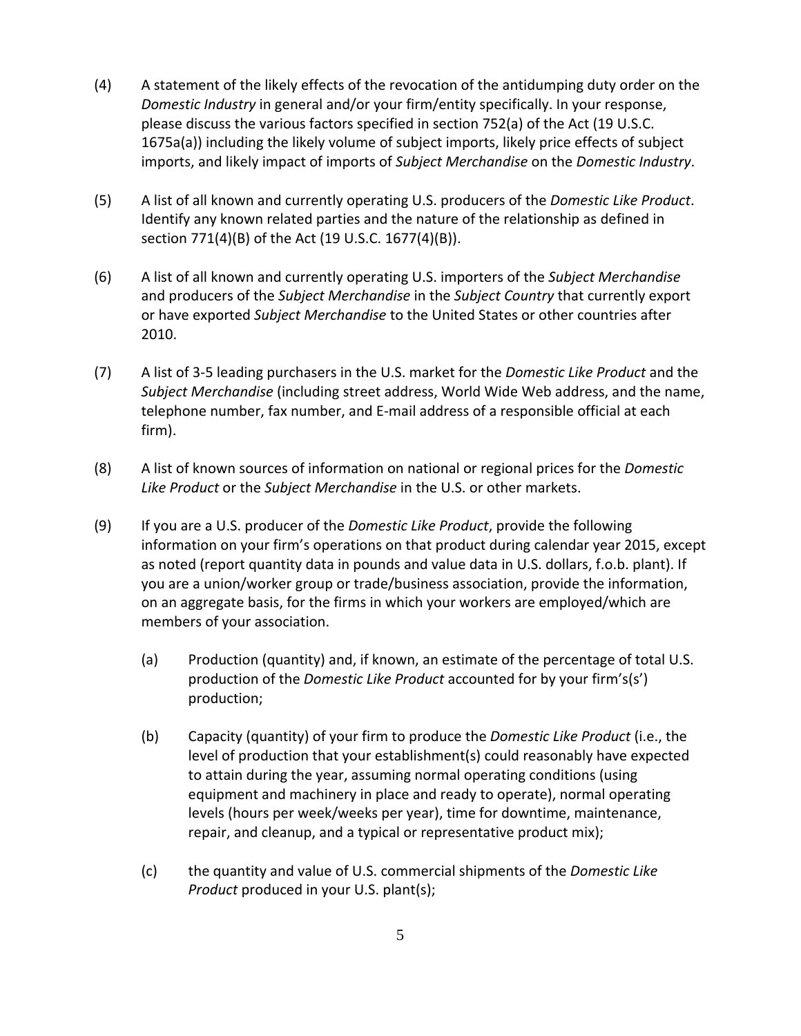- (4) A statement of the likely effects of the revocation of the antidumping duty order on the *Domestic Industry* in general and/or your firm/entity specifically. In your response, please discuss the various factors specified in section 752(a) of the Act (19 U.S.C. 1675a(a)) including the likely volume of subject imports, likely price effects of subject imports, and likely impact of imports of *Subject Merchandise* on the *Domestic Industry*.
- (5) A list of all known and currently operating U.S. producers of the *Domestic Like Product*. Identify any known related parties and the nature of the relationship as defined in section 771(4)(B) of the Act (19 U.S.C. 1677(4)(B)).
- (6) A list of all known and currently operating U.S. importers of the *Subject Merchandise* and producers of the *Subject Merchandise* in the *Subject Country* that currently export or have exported *Subject Merchandise* to the United States or other countries after 2010.
- (7) A list of 3‐5 leading purchasers in the U.S. market for the *Domestic Like Product* and the *Subject Merchandise* (including street address, World Wide Web address, and the name, telephone number, fax number, and E‐mail address of a responsible official at each firm).
- (8) A list of known sources of information on national or regional prices for the *Domestic Like Product* or the *Subject Merchandise* in the U.S. or other markets.
- (9) If you are a U.S. producer of the *Domestic Like Product*, provide the following information on your firm's operations on that product during calendar year 2015, except as noted (report quantity data in pounds and value data in U.S. dollars, f.o.b. plant). If you are a union/worker group or trade/business association, provide the information, on an aggregate basis, for the firms in which your workers are employed/which are members of your association.
	- (a) Production (quantity) and, if known, an estimate of the percentage of total U.S. production of the *Domestic Like Product* accounted for by your firm's(s') production;
	- (b) Capacity (quantity) of your firm to produce the *Domestic Like Product* (i.e., the level of production that your establishment(s) could reasonably have expected to attain during the year, assuming normal operating conditions (using equipment and machinery in place and ready to operate), normal operating levels (hours per week/weeks per year), time for downtime, maintenance, repair, and cleanup, and a typical or representative product mix);
	- (c) the quantity and value of U.S. commercial shipments of the *Domestic Like Product* produced in your U.S. plant(s);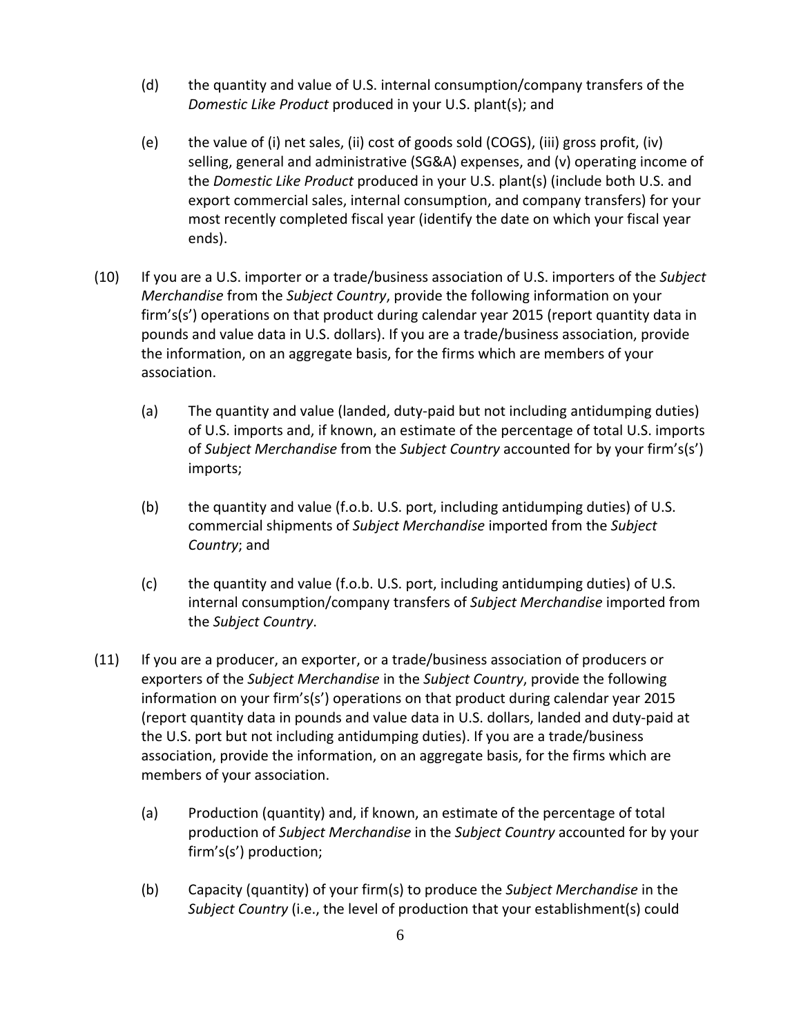- (d) the quantity and value of U.S. internal consumption/company transfers of the *Domestic Like Product* produced in your U.S. plant(s); and
- (e) the value of (i) net sales, (ii) cost of goods sold (COGS), (iii) gross profit, (iv) selling, general and administrative (SG&A) expenses, and (v) operating income of the *Domestic Like Product* produced in your U.S. plant(s) (include both U.S. and export commercial sales, internal consumption, and company transfers) for your most recently completed fiscal year (identify the date on which your fiscal year ends).
- (10) If you are a U.S. importer or a trade/business association of U.S. importers of the *Subject Merchandise* from the *Subject Country*, provide the following information on your firm's(s') operations on that product during calendar year 2015 (report quantity data in pounds and value data in U.S. dollars). If you are a trade/business association, provide the information, on an aggregate basis, for the firms which are members of your association.
	- (a) The quantity and value (landed, duty‐paid but not including antidumping duties) of U.S. imports and, if known, an estimate of the percentage of total U.S. imports of *Subject Merchandise* from the *Subject Country* accounted for by your firm's(s') imports;
	- (b) the quantity and value (f.o.b. U.S. port, including antidumping duties) of U.S. commercial shipments of *Subject Merchandise* imported from the *Subject Country*; and
	- (c) the quantity and value (f.o.b. U.S. port, including antidumping duties) of U.S. internal consumption/company transfers of *Subject Merchandise* imported from the *Subject Country*.
- (11) If you are a producer, an exporter, or a trade/business association of producers or exporters of the *Subject Merchandise* in the *Subject Country*, provide the following information on your firm's(s') operations on that product during calendar year 2015 (report quantity data in pounds and value data in U.S. dollars, landed and duty‐paid at the U.S. port but not including antidumping duties). If you are a trade/business association, provide the information, on an aggregate basis, for the firms which are members of your association.
	- (a) Production (quantity) and, if known, an estimate of the percentage of total production of *Subject Merchandise* in the *Subject Country* accounted for by your firm's(s') production;
	- (b) Capacity (quantity) of your firm(s) to produce the *Subject Merchandise* in the *Subject Country* (i.e., the level of production that your establishment(s) could